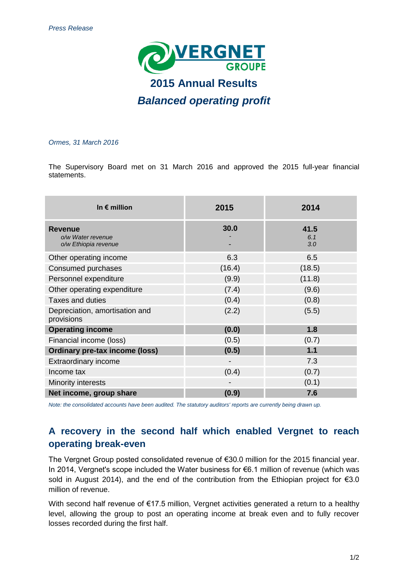

# *Ormes, 31 March 2016*

The Supervisory Board met on 31 March 2016 and approved the 2015 full-year financial statements.

| In $\epsilon$ million                                       | 2015   | 2014               |
|-------------------------------------------------------------|--------|--------------------|
| <b>Revenue</b><br>o/w Water revenue<br>o/w Ethiopia revenue | 30.0   | 41.5<br>6.1<br>3.0 |
| Other operating income                                      | 6.3    | 6.5                |
| Consumed purchases                                          | (16.4) | (18.5)             |
| Personnel expenditure                                       | (9.9)  | (11.8)             |
| Other operating expenditure                                 | (7.4)  | (9.6)              |
| <b>Taxes and duties</b>                                     | (0.4)  | (0.8)              |
| Depreciation, amortisation and<br>provisions                | (2.2)  | (5.5)              |
| <b>Operating income</b>                                     | (0.0)  | 1.8                |
| Financial income (loss)                                     | (0.5)  | (0.7)              |
| <b>Ordinary pre-tax income (loss)</b>                       | (0.5)  | 1.1                |
| Extraordinary income                                        |        | 7.3                |
| Income tax                                                  | (0.4)  | (0.7)              |
| Minority interests                                          |        | (0.1)              |
| Net income, group share                                     | (0.9)  | 7.6                |

*Note: the consolidated accounts have been audited. The statutory auditors' reports are currently being drawn up.*

# **A recovery in the second half which enabled Vergnet to reach operating break-even**

The Vergnet Group posted consolidated revenue of €30.0 million for the 2015 financial year. In 2014, Vergnet's scope included the Water business for €6.1 million of revenue (which was sold in August 2014), and the end of the contribution from the Ethiopian project for €3.0 million of revenue.

With second half revenue of €17.5 million, Vergnet activities generated a return to a healthy level, allowing the group to post an operating income at break even and to fully recover losses recorded during the first half.